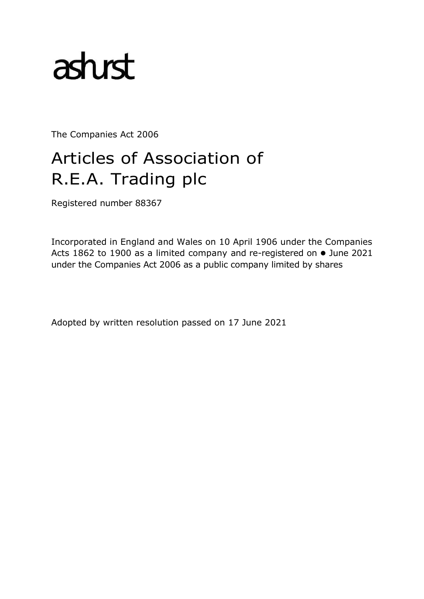# asturst

The Companies Act 2006

# Articles of Association of R.E.A. Trading plc

Registered number 88367

Incorporated in England and Wales on 10 April 1906 under the Companies Acts 1862 to 1900 as a limited company and re-registered on ⚫ June 2021 under the Companies Act 2006 as a public company limited by shares

Adopted by written resolution passed on 17 June 2021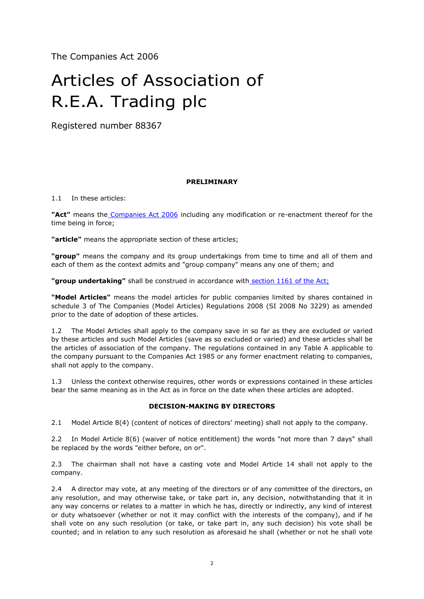The Companies Act 2006

# Articles of Association of R.E.A. Trading plc

Registered number 88367

# **PRELIMINARY**

# 1.1 In these articles:

**"Act"** means the Companies Act 2006 including any modification or re-enactment thereof for the time being in force;

**"article"** means the appropriate section of these articles;

**"group"** means the company and its group undertakings from time to time and all of them and each of them as the context admits and "group company" means any one of them; and

"group undertaking" shall be construed in accordance with section 1161 of the Act;

**"Model Articles"** means the model articles for public companies limited by shares contained in schedule 3 of The Companies (Model Articles) Regulations 2008 (SI 2008 No 3229) as amended prior to the date of adoption of these articles.

1.2 The Model Articles shall apply to the company save in so far as they are excluded or varied by these articles and such Model Articles (save as so excluded or varied) and these articles shall be the articles of association of the company. The regulations contained in any Table A applicable to the company pursuant to the Companies Act 1985 or any former enactment relating to companies, shall not apply to the company.

1.3 Unless the context otherwise requires, other words or expressions contained in these articles bear the same meaning as in the Act as in force on the date when these articles are adopted.

#### **DECISION-MAKING BY DIRECTORS**

2.1 Model Article 8(4) (content of notices of directors' meeting) shall not apply to the company.

2.2 In Model Article 8(6) (waiver of notice entitlement) the words "not more than 7 days" shall be replaced by the words "either before, on or".

2.3 The chairman shall not have a casting vote and Model Article 14 shall not apply to the company.

2.4 A director may vote, at any meeting of the directors or of any committee of the directors, on any resolution, and may otherwise take, or take part in, any decision, notwithstanding that it in any way concerns or relates to a matter in which he has, directly or indirectly, any kind of interest or duty whatsoever (whether or not it may conflict with the interests of the company), and if he shall vote on any such resolution (or take, or take part in, any such decision) his vote shall be counted; and in relation to any such resolution as aforesaid he shall (whether or not he shall vote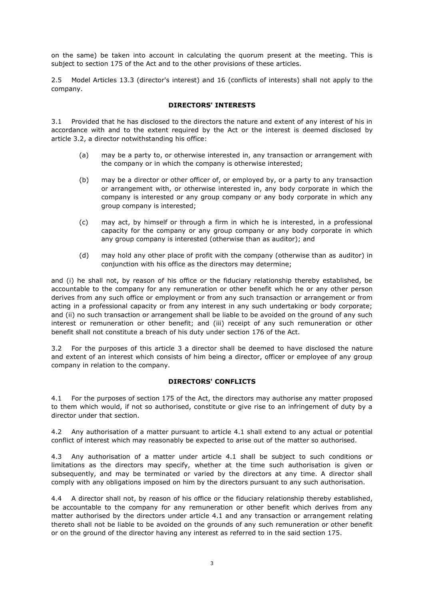on the same) be taken into account in calculating the quorum present at the meeting. This is subject to section 175 of the Act and to the other provisions of these articles.

2.5 Model Articles 13.3 (director's interest) and 16 (conflicts of interests) shall not apply to the company.

# **DIRECTORS' INTERESTS**

3.1 Provided that he has disclosed to the directors the nature and extent of any interest of his in accordance with and to the extent required by the Act or the interest is deemed disclosed by article 3.2, a director notwithstanding his office:

- (a) may be a party to, or otherwise interested in, any transaction or arrangement with the company or in which the company is otherwise interested;
- (b) may be a director or other officer of, or employed by, or a party to any transaction or arrangement with, or otherwise interested in, any body corporate in which the company is interested or any group company or any body corporate in which any group company is interested;
- (c) may act, by himself or through a firm in which he is interested, in a professional capacity for the company or any group company or any body corporate in which any group company is interested (otherwise than as auditor); and
- (d) may hold any other place of profit with the company (otherwise than as auditor) in conjunction with his office as the directors may determine;

and (i) he shall not, by reason of his office or the fiduciary relationship thereby established, be accountable to the company for any remuneration or other benefit which he or any other person derives from any such office or employment or from any such transaction or arrangement or from acting in a professional capacity or from any interest in any such undertaking or body corporate; and (ii) no such transaction or arrangement shall be liable to be avoided on the ground of any such interest or remuneration or other benefit; and (iii) receipt of any such remuneration or other benefit shall not constitute a breach of his duty under section 176 of the Act.

3.2 For the purposes of this article 3 a director shall be deemed to have disclosed the nature and extent of an interest which consists of him being a director, officer or employee of any group company in relation to the company.

#### **DIRECTORS' CONFLICTS**

4.1 For the purposes of section 175 of the Act, the directors may authorise any matter proposed to them which would, if not so authorised, constitute or give rise to an infringement of duty by a director under that section.

4.2 Any authorisation of a matter pursuant to article 4.1 shall extend to any actual or potential conflict of interest which may reasonably be expected to arise out of the matter so authorised.

4.3 Any authorisation of a matter under article 4.1 shall be subject to such conditions or limitations as the directors may specify, whether at the time such authorisation is given or subsequently, and may be terminated or varied by the directors at any time. A director shall comply with any obligations imposed on him by the directors pursuant to any such authorisation.

4.4 A director shall not, by reason of his office or the fiduciary relationship thereby established, be accountable to the company for any remuneration or other benefit which derives from any matter authorised by the directors under article 4.1 and any transaction or arrangement relating thereto shall not be liable to be avoided on the grounds of any such remuneration or other benefit or on the ground of the director having any interest as referred to in the said section 175.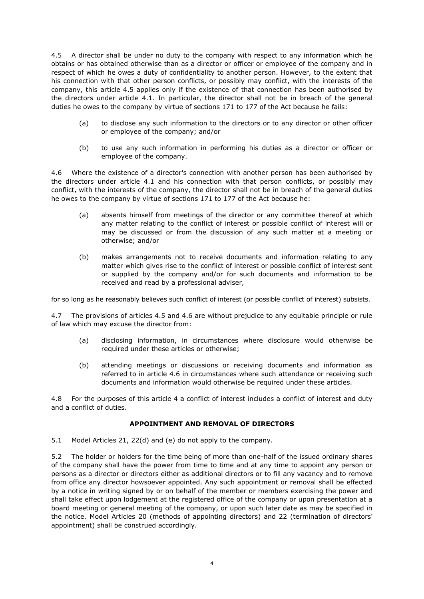4.5 A director shall be under no duty to the company with respect to any information which he obtains or has obtained otherwise than as a director or officer or employee of the company and in respect of which he owes a duty of confidentiality to another person. However, to the extent that his connection with that other person conflicts, or possibly may conflict, with the interests of the company, this article 4.5 applies only if the existence of that connection has been authorised by the directors under article 4.1. In particular, the director shall not be in breach of the general duties he owes to the company by virtue of sections 171 to 177 of the Act because he fails:

- (a) to disclose any such information to the directors or to any director or other officer or employee of the company; and/or
- (b) to use any such information in performing his duties as a director or officer or employee of the company.

4.6 Where the existence of a director's connection with another person has been authorised by the directors under article 4.1 and his connection with that person conflicts, or possibly may conflict, with the interests of the company, the director shall not be in breach of the general duties he owes to the company by virtue of sections 171 to 177 of the Act because he:

- (a) absents himself from meetings of the director or any committee thereof at which any matter relating to the conflict of interest or possible conflict of interest will or may be discussed or from the discussion of any such matter at a meeting or otherwise; and/or
- (b) makes arrangements not to receive documents and information relating to any matter which gives rise to the conflict of interest or possible conflict of interest sent or supplied by the company and/or for such documents and information to be received and read by a professional adviser,

for so long as he reasonably believes such conflict of interest (or possible conflict of interest) subsists.

4.7 The provisions of articles 4.5 and 4.6 are without prejudice to any equitable principle or rule of law which may excuse the director from:

- (a) disclosing information, in circumstances where disclosure would otherwise be required under these articles or otherwise;
- (b) attending meetings or discussions or receiving documents and information as referred to in article 4.6 in circumstances where such attendance or receiving such documents and information would otherwise be required under these articles.

4.8 For the purposes of this article 4 a conflict of interest includes a conflict of interest and duty and a conflict of duties.

# **APPOINTMENT AND REMOVAL OF DIRECTORS**

5.1 Model Articles 21, 22(d) and (e) do not apply to the company.

5.2 The holder or holders for the time being of more than one-half of the issued ordinary shares of the company shall have the power from time to time and at any time to appoint any person or persons as a director or directors either as additional directors or to fill any vacancy and to remove from office any director howsoever appointed. Any such appointment or removal shall be effected by a notice in writing signed by or on behalf of the member or members exercising the power and shall take effect upon lodgement at the registered office of the company or upon presentation at a board meeting or general meeting of the company, or upon such later date as may be specified in the notice. Model Articles 20 (methods of appointing directors) and 22 (termination of directors' appointment) shall be construed accordingly.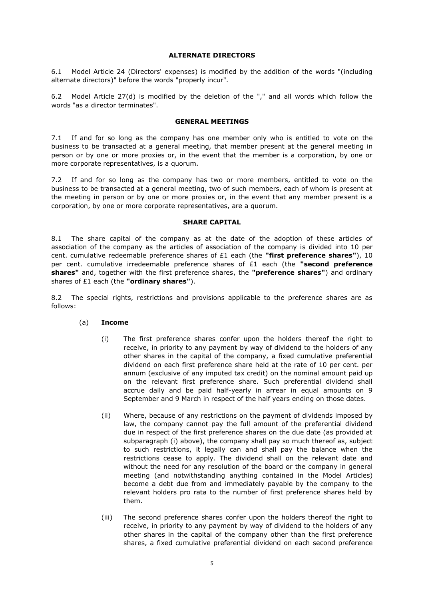#### **ALTERNATE DIRECTORS**

6.1 Model Article 24 (Directors' expenses) is modified by the addition of the words "(including alternate directors)" before the words "properly incur".

6.2 Model Article 27(d) is modified by the deletion of the "," and all words which follow the words "as a director terminates".

## **GENERAL MEETINGS**

7.1 If and for so long as the company has one member only who is entitled to vote on the business to be transacted at a general meeting, that member present at the general meeting in person or by one or more proxies or, in the event that the member is a corporation, by one or more corporate representatives, is a quorum.

7.2 If and for so long as the company has two or more members, entitled to vote on the business to be transacted at a general meeting, two of such members, each of whom is present at the meeting in person or by one or more proxies or, in the event that any member present is a corporation, by one or more corporate representatives, are a quorum.

#### **SHARE CAPITAL**

8.1 The share capital of the company as at the date of the adoption of these articles of association of the company as the articles of association of the company is divided into 10 per cent. cumulative redeemable preference shares of £1 each (the **"first preference shares"**), 10 per cent. cumulative irredeemable preference shares of £1 each (the **"second preference shares"** and, together with the first preference shares, the **"preference shares"**) and ordinary shares of £1 each (the **"ordinary shares"**).

8.2 The special rights, restrictions and provisions applicable to the preference shares are as follows:

#### (a) **Income**

- (i) The first preference shares confer upon the holders thereof the right to receive, in priority to any payment by way of dividend to the holders of any other shares in the capital of the company, a fixed cumulative preferential dividend on each first preference share held at the rate of 10 per cent. per annum (exclusive of any imputed tax credit) on the nominal amount paid up on the relevant first preference share. Such preferential dividend shall accrue daily and be paid half-yearly in arrear in equal amounts on 9 September and 9 March in respect of the half years ending on those dates.
- (ii) Where, because of any restrictions on the payment of dividends imposed by law, the company cannot pay the full amount of the preferential dividend due in respect of the first preference shares on the due date (as provided at subparagraph (i) above), the company shall pay so much thereof as, subject to such restrictions, it legally can and shall pay the balance when the restrictions cease to apply. The dividend shall on the relevant date and without the need for any resolution of the board or the company in general meeting (and notwithstanding anything contained in the Model Articles) become a debt due from and immediately payable by the company to the relevant holders pro rata to the number of first preference shares held by them.
- (iii) The second preference shares confer upon the holders thereof the right to receive, in priority to any payment by way of dividend to the holders of any other shares in the capital of the company other than the first preference shares, a fixed cumulative preferential dividend on each second preference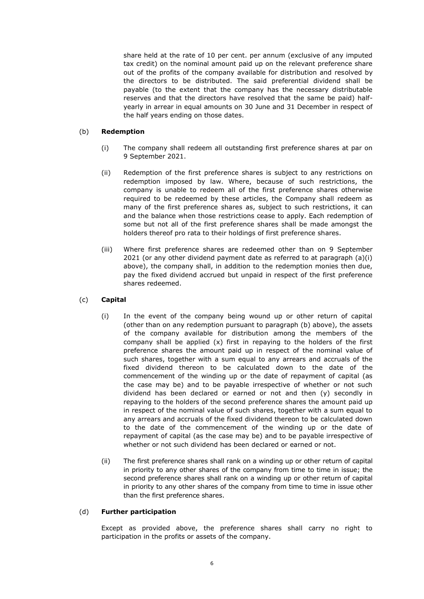share held at the rate of 10 per cent. per annum (exclusive of any imputed tax credit) on the nominal amount paid up on the relevant preference share out of the profits of the company available for distribution and resolved by the directors to be distributed. The said preferential dividend shall be payable (to the extent that the company has the necessary distributable reserves and that the directors have resolved that the same be paid) halfyearly in arrear in equal amounts on 30 June and 31 December in respect of the half years ending on those dates.

# (b) **Redemption**

- (i) The company shall redeem all outstanding first preference shares at par on 9 September 2021.
- (ii) Redemption of the first preference shares is subject to any restrictions on redemption imposed by law. Where, because of such restrictions, the company is unable to redeem all of the first preference shares otherwise required to be redeemed by these articles, the Company shall redeem as many of the first preference shares as, subject to such restrictions, it can and the balance when those restrictions cease to apply. Each redemption of some but not all of the first preference shares shall be made amongst the holders thereof pro rata to their holdings of first preference shares.
- (iii) Where first preference shares are redeemed other than on 9 September 2021 (or any other dividend payment date as referred to at paragraph (a)(i) above), the company shall, in addition to the redemption monies then due, pay the fixed dividend accrued but unpaid in respect of the first preference shares redeemed.

# (c) **Capital**

- (i) In the event of the company being wound up or other return of capital (other than on any redemption pursuant to paragraph (b) above), the assets of the company available for distribution among the members of the company shall be applied (x) first in repaying to the holders of the first preference shares the amount paid up in respect of the nominal value of such shares, together with a sum equal to any arrears and accruals of the fixed dividend thereon to be calculated down to the date of the commencement of the winding up or the date of repayment of capital (as the case may be) and to be payable irrespective of whether or not such dividend has been declared or earned or not and then (y) secondly in repaying to the holders of the second preference shares the amount paid up in respect of the nominal value of such shares, together with a sum equal to any arrears and accruals of the fixed dividend thereon to be calculated down to the date of the commencement of the winding up or the date of repayment of capital (as the case may be) and to be payable irrespective of whether or not such dividend has been declared or earned or not.
- (ii) The first preference shares shall rank on a winding up or other return of capital in priority to any other shares of the company from time to time in issue; the second preference shares shall rank on a winding up or other return of capital in priority to any other shares of the company from time to time in issue other than the first preference shares.

#### (d) **Further participation**

Except as provided above, the preference shares shall carry no right to participation in the profits or assets of the company.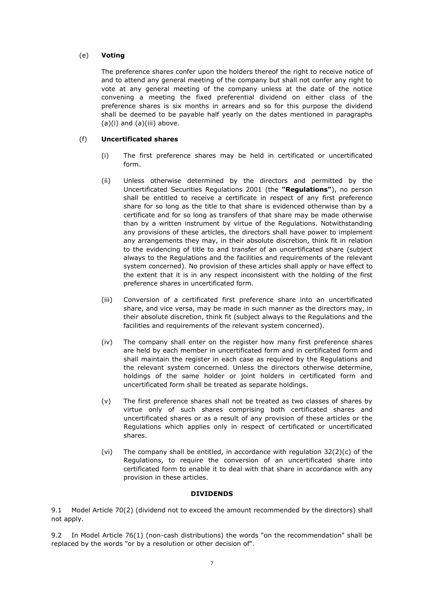# (e) **Voting**

The preference shares confer upon the holders thereof the right to receive notice of and to attend any general meeting of the company but shall not confer any right to vote at any general meeting of the company unless at the date of the notice convening a meeting the fixed preferential dividend on either class of the preference shares is six months in arrears and so for this purpose the dividend shall be deemed to be payable half yearly on the dates mentioned in paragraphs (a)(i) and (a)(iii) above.

# (f) **Uncertificated shares**

- (i) The first preference shares may be held in certificated or uncertificated form.
- (ii) Unless otherwise determined by the directors and permitted by the Uncertificated Securities Regulations 2001 (the **"Regulations"**), no person shall be entitled to receive a certificate in respect of any first preference share for so long as the title to that share is evidenced otherwise than by a certificate and for so long as transfers of that share may be made otherwise than by a written instrument by virtue of the Regulations. Notwithstanding any provisions of these articles, the directors shall have power to implement any arrangements they may, in their absolute discretion, think fit in relation to the evidencing of title to and transfer of an uncertificated share (subject always to the Regulations and the facilities and requirements of the relevant system concerned). No provision of these articles shall apply or have effect to the extent that it is in any respect inconsistent with the holding of the first preference shares in uncertificated form.
- (iii) Conversion of a certificated first preference share into an uncertificated share, and vice versa, may be made in such manner as the directors may, in their absolute discretion, think fit (subject always to the Regulations and the facilities and requirements of the relevant system concerned).
- (iv) The company shall enter on the register how many first preference shares are held by each member in uncertificated form and in certificated form and shall maintain the register in each case as required by the Regulations and the relevant system concerned. Unless the directors otherwise determine, holdings of the same holder or joint holders in certificated form and uncertificated form shall be treated as separate holdings.
- (v) The first preference shares shall not be treated as two classes of shares by virtue only of such shares comprising both certificated shares and uncertificated shares or as a result of any provision of these articles or the Regulations which applies only in respect of certificated or uncertificated shares.
- (vi) The company shall be entitled, in accordance with regulation  $32(2)(c)$  of the Regulations, to require the conversion of an uncertificated share into certificated form to enable it to deal with that share in accordance with any provision in these articles.

# **DIVIDENDS**

9.1 Model Article 70(2) (dividend not to exceed the amount recommended by the directors) shall not apply.

9.2 In Model Article 76(1) (non-cash distributions) the words "on the recommendation" shall be replaced by the words "or by a resolution or other decision of".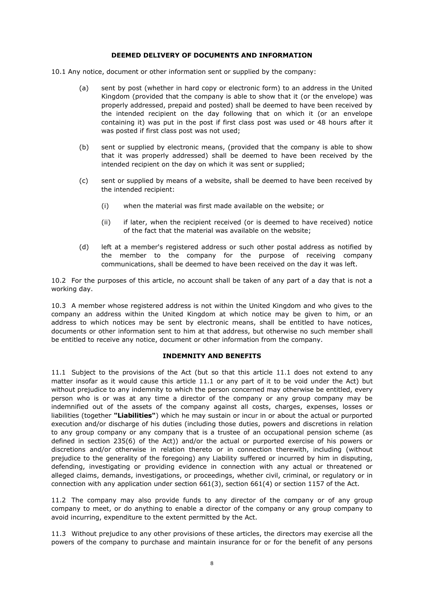#### **DEEMED DELIVERY OF DOCUMENTS AND INFORMATION**

- 10.1 Any notice, document or other information sent or supplied by the company:
	- (a) sent by post (whether in hard copy or electronic form) to an address in the United Kingdom (provided that the company is able to show that it (or the envelope) was properly addressed, prepaid and posted) shall be deemed to have been received by the intended recipient on the day following that on which it (or an envelope containing it) was put in the post if first class post was used or 48 hours after it was posted if first class post was not used;
	- (b) sent or supplied by electronic means, (provided that the company is able to show that it was properly addressed) shall be deemed to have been received by the intended recipient on the day on which it was sent or supplied;
	- (c) sent or supplied by means of a website, shall be deemed to have been received by the intended recipient:
		- (i) when the material was first made available on the website; or
		- (ii) if later, when the recipient received (or is deemed to have received) notice of the fact that the material was available on the website;
	- (d) left at a member's registered address or such other postal address as notified by the member to the company for the purpose of receiving company communications, shall be deemed to have been received on the day it was left.

10.2 For the purposes of this article, no account shall be taken of any part of a day that is not a working day.

10.3 A member whose registered address is not within the United Kingdom and who gives to the company an address within the United Kingdom at which notice may be given to him, or an address to which notices may be sent by electronic means, shall be entitled to have notices, documents or other information sent to him at that address, but otherwise no such member shall be entitled to receive any notice, document or other information from the company.

# **INDEMNITY AND BENEFITS**

11.1 Subject to the provisions of the Act (but so that this article 11.1 does not extend to any matter insofar as it would cause this article 11.1 or any part of it to be void under the Act) but without prejudice to any indemnity to which the person concerned may otherwise be entitled, every person who is or was at any time a director of the company or any group company may be indemnified out of the assets of the company against all costs, charges, expenses, losses or liabilities (together **"Liabilities"**) which he may sustain or incur in or about the actual or purported execution and/or discharge of his duties (including those duties, powers and discretions in relation to any group company or any company that is a trustee of an occupational pension scheme (as defined in section 235(6) of the Act)) and/or the actual or purported exercise of his powers or discretions and/or otherwise in relation thereto or in connection therewith, including (without prejudice to the generality of the foregoing) any Liability suffered or incurred by him in disputing, defending, investigating or providing evidence in connection with any actual or threatened or alleged claims, demands, investigations, or proceedings, whether civil, criminal, or regulatory or in connection with any application under section 661(3), section 661(4) or section 1157 of the Act.

11.2 The company may also provide funds to any director of the company or of any group company to meet, or do anything to enable a director of the company or any group company to avoid incurring, expenditure to the extent permitted by the Act.

11.3 Without prejudice to any other provisions of these articles, the directors may exercise all the powers of the company to purchase and maintain insurance for or for the benefit of any persons